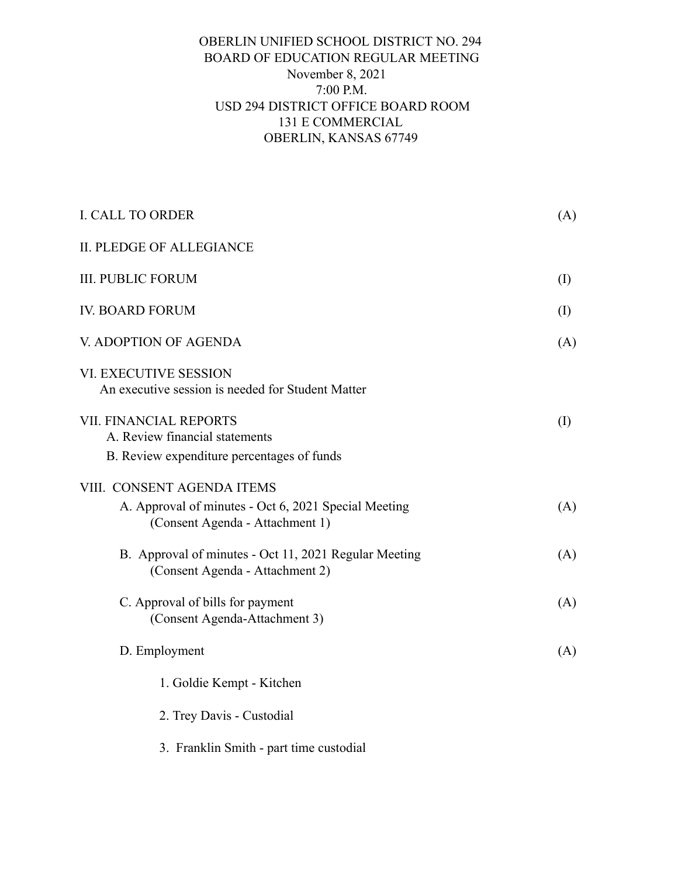## OBERLIN UNIFIED SCHOOL DISTRICT NO. 294 BOARD OF EDUCATION REGULAR MEETING November 8, 2021 7:00 P.M. USD 294 DISTRICT OFFICE BOARD ROOM 131 E COMMERCIAL OBERLIN, KANSAS 67749

| I. CALL TO ORDER                                                                                                      | (A)          |
|-----------------------------------------------------------------------------------------------------------------------|--------------|
| <b>II. PLEDGE OF ALLEGIANCE</b>                                                                                       |              |
| <b>III. PUBLIC FORUM</b>                                                                                              | $($ $\Gamma$ |
| <b>IV. BOARD FORUM</b>                                                                                                | $\rm (I)$    |
| V. ADOPTION OF AGENDA                                                                                                 | (A)          |
| VI. EXECUTIVE SESSION<br>An executive session is needed for Student Matter                                            |              |
| VII. FINANCIAL REPORTS<br>A. Review financial statements<br>B. Review expenditure percentages of funds                | $\rm (I)$    |
| VIII. CONSENT AGENDA ITEMS<br>A. Approval of minutes - Oct 6, 2021 Special Meeting<br>(Consent Agenda - Attachment 1) | (A)          |
| B. Approval of minutes - Oct 11, 2021 Regular Meeting<br>(Consent Agenda - Attachment 2)                              | (A)          |
| C. Approval of bills for payment<br>(Consent Agenda-Attachment 3)                                                     | (A)          |
| D. Employment                                                                                                         | (A)          |
| 1. Goldie Kempt - Kitchen                                                                                             |              |
| 2. Trey Davis - Custodial                                                                                             |              |
| 3. Franklin Smith - part time custodial                                                                               |              |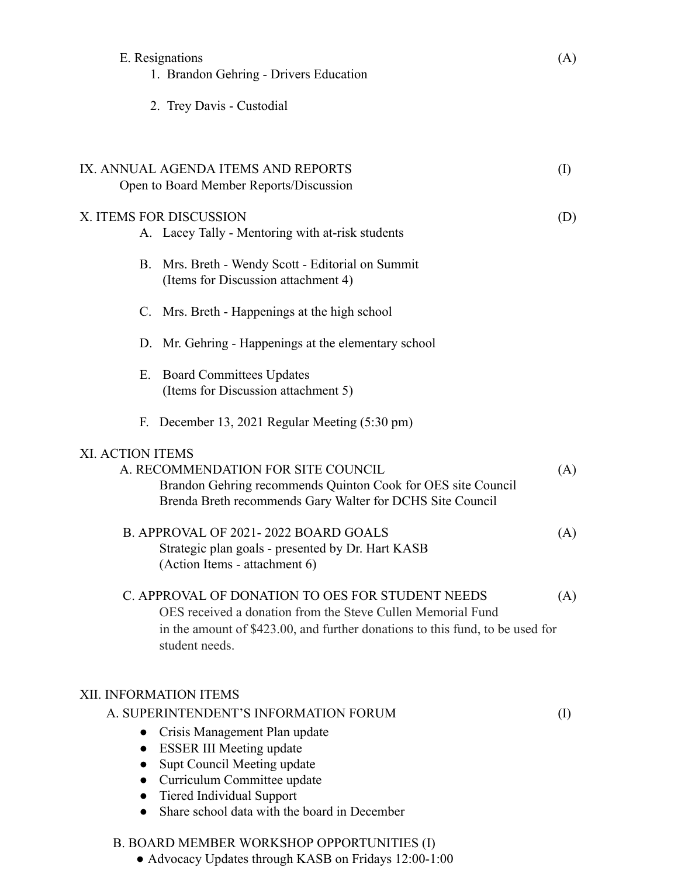|                        | E. Resignations<br>1. Brandon Gehring - Drivers Education                                                                                                                                                                                                                      | (A)                        |
|------------------------|--------------------------------------------------------------------------------------------------------------------------------------------------------------------------------------------------------------------------------------------------------------------------------|----------------------------|
|                        | 2. Trey Davis - Custodial                                                                                                                                                                                                                                                      |                            |
|                        | IX. ANNUAL AGENDA ITEMS AND REPORTS<br>Open to Board Member Reports/Discussion                                                                                                                                                                                                 | $\left( \mathrm{I}\right)$ |
|                        | X. ITEMS FOR DISCUSSION<br>A. Lacey Tally - Mentoring with at-risk students                                                                                                                                                                                                    | (D)                        |
| В.                     | Mrs. Breth - Wendy Scott - Editorial on Summit<br>(Items for Discussion attachment 4)                                                                                                                                                                                          |                            |
|                        | C. Mrs. Breth - Happenings at the high school                                                                                                                                                                                                                                  |                            |
|                        | D. Mr. Gehring - Happenings at the elementary school                                                                                                                                                                                                                           |                            |
| Е.                     | <b>Board Committees Updates</b><br>(Items for Discussion attachment 5)                                                                                                                                                                                                         |                            |
|                        | F. December 13, 2021 Regular Meeting (5:30 pm)                                                                                                                                                                                                                                 |                            |
| XI. ACTION ITEMS       | A. RECOMMENDATION FOR SITE COUNCIL<br>Brandon Gehring recommends Quinton Cook for OES site Council<br>Brenda Breth recommends Gary Walter for DCHS Site Council                                                                                                                | (A)                        |
|                        | B. APPROVAL OF 2021-2022 BOARD GOALS<br>Strategic plan goals - presented by Dr. Hart KASB<br>(Action Items - attachment 6)                                                                                                                                                     | (A)                        |
|                        | C. APPROVAL OF DONATION TO OES FOR STUDENT NEEDS<br>OES received a donation from the Steve Cullen Memorial Fund<br>in the amount of \$423.00, and further donations to this fund, to be used for<br>student needs.                                                             | (A)                        |
| $\bullet$<br>$\bullet$ | XII. INFORMATION ITEMS<br>A. SUPERINTENDENT'S INFORMATION FORUM<br>Crisis Management Plan update<br><b>ESSER III Meeting update</b><br>Supt Council Meeting update<br>Curriculum Committee update<br>Tiered Individual Support<br>Share school data with the board in December | $\rm(I)$                   |

## B. BOARD MEMBER WORKSHOP OPPORTUNITIES (I)

● Advocacy Updates through KASB on Fridays 12:00-1:00